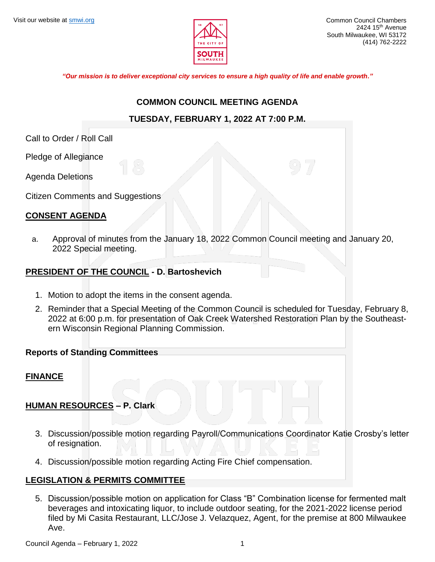

*"Our mission is to deliver exceptional city services to ensure a high quality of life and enable growth."*

### **COMMON COUNCIL MEETING AGENDA**

## **TUESDAY, FEBRUARY 1, 2022 AT 7:00 P.M.**

Call to Order / Roll Call

Pledge of Allegiance

Agenda Deletions

Citizen Comments and Suggestions

## **CONSENT AGENDA**

a. Approval of minutes from the January 18, 2022 Common Council meeting and January 20, 2022 Special meeting.

## **PRESIDENT OF THE COUNCIL - D. Bartoshevich**

- 1. Motion to adopt the items in the consent agenda.
- 2. Reminder that a Special Meeting of the Common Council is scheduled for Tuesday, February 8, 2022 at 6:00 p.m. for presentation of Oak Creek Watershed Restoration Plan by the Southeastern Wisconsin Regional Planning Commission.

## **Reports of Standing Committees**

#### **FINANCE**

## **HUMAN RESOURCES – P. Clark**

- 3. Discussion/possible motion regarding Payroll/Communications Coordinator Katie Crosby's letter of resignation.
- 4. Discussion/possible motion regarding Acting Fire Chief compensation.

#### **LEGISLATION & PERMITS COMMITTEE**

5. Discussion/possible motion on application for Class "B" Combination license for fermented malt beverages and intoxicating liquor, to include outdoor seating, for the 2021-2022 license period filed by Mi Casita Restaurant, LLC/Jose J. Velazquez, Agent, for the premise at 800 Milwaukee Ave.

Council Agenda – February 1, 2022 1